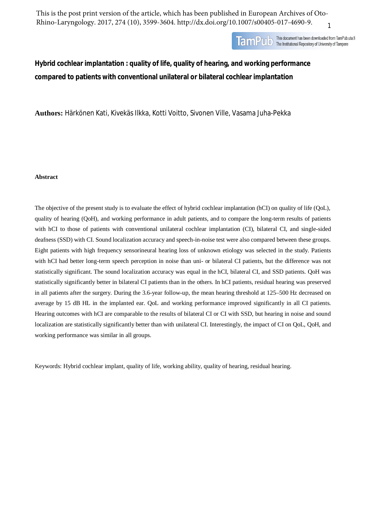1 This is the post print version of the article, which has been published in European Archives of Oto-Rhino-Laryngology. 2017, 274 (10), 3599-3604. http://dx.doi.org/10.1007/s00405-017-4690-9.



**Hybrid cochlear implantation : quality of life, quality of hearing, and working performance compared to patients with conventional unilateral or bilateral cochlear implantation** 

**Authors:** Härkönen Kati, Kivekäs Ilkka, Kotti Voitto, Sivonen Ville, Vasama Juha-Pekka

### **Abstract**

The objective of the present study is to evaluate the effect of hybrid cochlear implantation (hCI) on quality of life (QoL), quality of hearing (QoH), and working performance in adult patients, and to compare the long-term results of patients with hCI to those of patients with conventional unilateral cochlear implantation (CI), bilateral CI, and single-sided deafness (SSD) with CI. Sound localization accuracy and speech-in-noise test were also compared between these groups. Eight patients with high frequency sensorineural hearing loss of unknown etiology was selected in the study. Patients with hCI had better long-term speech perception in noise than uni- or bilateral CI patients, but the difference was not statistically significant. The sound localization accuracy was equal in the hCI, bilateral CI, and SSD patients. QoH was statistically significantly better in bilateral CI patients than in the others. In hCI patients, residual hearing was preserved in all patients after the surgery. During the 3.6-year follow-up, the mean hearing threshold at 125–500 Hz decreased on average by 15 dB HL in the implanted ear. QoL and working performance improved significantly in all CI patients. Hearing outcomes with hCI are comparable to the results of bilateral CI or CI with SSD, but hearing in noise and sound localization are statistically significantly better than with unilateral CI. Interestingly, the impact of CI on QoL, QoH, and working performance was similar in all groups.

Keywords: Hybrid cochlear implant, quality of life, working ability, quality of hearing, residual hearing.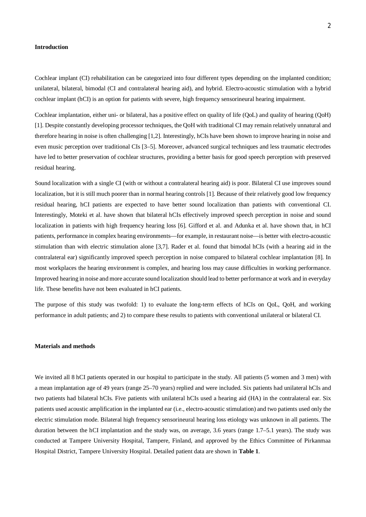### **Introduction**

Cochlear implant (CI) rehabilitation can be categorized into four different types depending on the implanted condition; unilateral, bilateral, bimodal (CI and contralateral hearing aid), and hybrid. Electro-acoustic stimulation with a hybrid cochlear implant (hCI) is an option for patients with severe, high frequency sensorineural hearing impairment.

Cochlear implantation, either uni- or bilateral, has a positive effect on quality of life (QoL) and quality of hearing (QoH) [1]. Despite constantly developing processor techniques, the QoH with traditional CI may remain relatively unnatural and therefore hearing in noise is often challenging [1,2]. Interestingly, hCIs have been shown to improve hearing in noise and even music perception over traditional CIs [3–5]. Moreover, advanced surgical techniques and less traumatic electrodes have led to better preservation of cochlear structures, providing a better basis for good speech perception with preserved residual hearing.

Sound localization with a single CI (with or without a contralateral hearing aid) is poor. Bilateral CI use improves sound localization, but it is still much poorer than in normal hearing controls [1]. Because of their relatively good low frequency residual hearing, hCI patients are expected to have better sound localization than patients with conventional CI. Interestingly, Moteki et al. have shown that bilateral hCIs effectively improved speech perception in noise and sound localization in patients with high frequency hearing loss [6]. Gifford et al. and Adunka et al. have shown that, in hCI patients, performance in complex hearing environments—for example, in restaurant noise—is better with electro-acoustic stimulation than with electric stimulation alone [3,7]. Rader et al. found that bimodal hCIs (with a hearing aid in the contralateral ear) significantly improved speech perception in noise compared to bilateral cochlear implantation [8]. In most workplaces the hearing environment is complex, and hearing loss may cause difficulties in working performance. Improved hearing in noise and more accurate sound localization should lead to better performance at work and in everyday life. These benefits have not been evaluated in hCI patients.

The purpose of this study was twofold: 1) to evaluate the long-term effects of hCIs on QoL, QoH, and working performance in adult patients; and 2) to compare these results to patients with conventional unilateral or bilateral CI.

# **Materials and methods**

We invited all 8 hCI patients operated in our hospital to participate in the study. All patients (5 women and 3 men) with a mean implantation age of 49 years (range 25–70 years) replied and were included. Six patients had unilateral hCIs and two patients had bilateral hCIs. Five patients with unilateral hCIs used a hearing aid (HA) in the contralateral ear. Six patients used acoustic amplification in the implanted ear (i.e., electro-acoustic stimulation) and two patients used only the electric stimulation mode. Bilateral high frequency sensorineural hearing loss etiology was unknown in all patients. The duration between the hCI implantation and the study was, on average, 3.6 years (range 1.7–5.1 years). The study was conducted at Tampere University Hospital, Tampere, Finland, and approved by the Ethics Committee of Pirkanmaa Hospital District, Tampere University Hospital. Detailed patient data are shown in **Table 1**.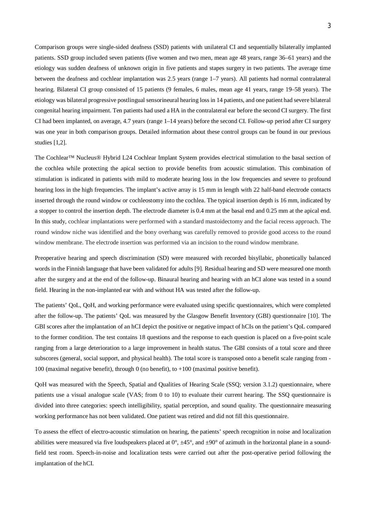Comparison groups were single-sided deafness (SSD) patients with unilateral CI and sequentially bilaterally implanted patients. SSD group included seven patients (five women and two men, mean age 48 years, range 36–61 years) and the etiology was sudden deafness of unknown origin in five patients and stapes surgery in two patients. The average time between the deafness and cochlear implantation was 2.5 years (range 1–7 years). All patients had normal contralateral hearing. Bilateral CI group consisted of 15 patients (9 females, 6 males, mean age 41 years, range 19–58 years). The etiology was bilateral progressive postlingual sensorineural hearing loss in 14 patients, and one patient had severe bilateral congenital hearing impairment. Ten patients had used a HA in the contralateral ear before the second CI surgery. The first CI had been implanted, on average, 4.7 years (range 1–14 years) before the second CI. Follow-up period after CI surgery was one year in both comparison groups. Detailed information about these control groups can be found in our previous studies [1,2].

The Cochlear™ Nucleus® Hybrid L24 Cochlear Implant System provides electrical stimulation to the basal section of the cochlea while protecting the apical section to provide benefits from acoustic stimulation. This combination of stimulation is indicated in patients with mild to moderate hearing loss in the low frequencies and severe to profound hearing loss in the high frequencies. The implant's active array is 15 mm in length with 22 half-band electrode contacts inserted through the round window or cochleostomy into the cochlea. The typical insertion depth is 16 mm, indicated by a stopper to control the insertion depth. The electrode diameter is 0.4 mm at the basal end and 0.25 mm at the apical end. In this study, cochlear implantations were performed with a standard mastoidectomy and the facial recess approach. The round window niche was identified and the bony overhang was carefully removed to provide good access to the round window membrane. The electrode insertion was performed via an incision to the round window membrane.

Preoperative hearing and speech discrimination (SD) were measured with recorded bisyllabic, phonetically balanced words in the Finnish language that have been validated for adults [9]. Residual hearing and SD were measured one month after the surgery and at the end of the follow-up. Binaural hearing and hearing with an hCI alone was tested in a sound field. Hearing in the non-implanted ear with and without HA was tested after the follow-up.

The patients' QoL, QoH, and working performance were evaluated using specific questionnaires, which were completed after the follow-up. The patients' QoL was measured by the Glasgow Benefit Inventory (GBI) questionnaire [10]. The GBI scores after the implantation of an hCI depict the positive or negative impact of hCIs on the patient's QoL compared to the former condition. The test contains 18 questions and the response to each question is placed on a five-point scale ranging from a large deterioration to a large improvement in health status. The GBI consists of a total score and three subscores (general, social support, and physical health). The total score is transposed onto a benefit scale ranging from - 100 (maximal negative benefit), through 0 (no benefit), to +100 (maximal positive benefit).

QoH was measured with the Speech, Spatial and Qualities of Hearing Scale (SSQ; version 3.1.2) questionnaire, where patients use a visual analogue scale (VAS; from 0 to 10) to evaluate their current hearing. The SSQ questionnaire is divided into three categories: speech intelligibility, spatial perception, and sound quality. The questionnaire measuring working performance has not been validated. One patient was retired and did not fill this questionnaire.

To assess the effect of electro-acoustic stimulation on hearing, the patients' speech recognition in noise and localization abilities were measured via five loudspeakers placed at  $0^\circ$ ,  $\pm 45^\circ$ , and  $\pm 90^\circ$  of azimuth in the horizontal plane in a soundfield test room. Speech-in-noise and localization tests were carried out after the post-operative period following the implantation of the hCI.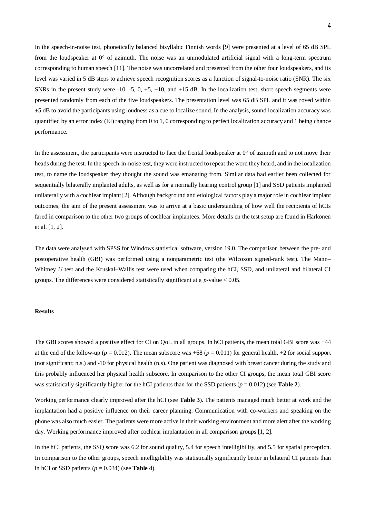In the speech-in-noise test, phonetically balanced bisyllabic Finnish words [9] were presented at a level of 65 dB SPL from the loudspeaker at  $0^{\circ}$  of azimuth. The noise was an unmodulated artificial signal with a long-term spectrum corresponding to human speech [11]. The noise was uncorrelated and presented from the other four loudspeakers, and its level was varied in 5 dB steps to achieve speech recognition scores as a function of signal-to-noise ratio (SNR). The six SNRs in the present study were -10, -5, 0, +5, +10, and +15 dB. In the localization test, short speech segments were presented randomly from each of the five loudspeakers. The presentation level was 65 dB SPL and it was roved within ±5 dB to avoid the participants using loudness as a cue to localize sound. In the analysis, sound localization accuracy was quantified by an error index (EI) ranging from 0 to 1, 0 corresponding to perfect localization accuracy and 1 being chance performance.

In the assessment, the participants were instructed to face the frontal loudspeaker at  $0^{\circ}$  of azimuth and to not move their heads during the test. In the speech-in-noise test, they were instructed to repeat the word they heard, and in the localization test, to name the loudspeaker they thought the sound was emanating from. Similar data had earlier been collected for sequentially bilaterally implanted adults, as well as for a normally hearing control group [1] and SSD patients implanted unilaterally with a cochlear implant [2]. Although background and etiological factors play a major role in cochlear implant outcomes, the aim of the present assessment was to arrive at a basic understanding of how well the recipients of hCIs fared in comparison to the other two groups of cochlear implantees. More details on the test setup are found in Härkönen et al. [1, 2].

The data were analysed with SPSS for Windows statistical software, version 19.0. The comparison between the pre- and postoperative health (GBI) was performed using a nonparametric test (the Wilcoxon signed-rank test). The Mann– Whitney *U* test and the Kruskal–Wallis test were used when comparing the hCI, SSD, and unilateral and bilateral CI groups. The differences were considered statistically significant at a *p*-value < 0.05.

#### **Results**

The GBI scores showed a positive effect for CI on QoL in all groups. In hCI patients, the mean total GBI score was +44 at the end of the follow-up ( $p = 0.012$ ). The mean subscore was +68 ( $p = 0.011$ ) for general health, +2 for social support (not significant; n.s.) and -10 for physical health (n.s). One patient was diagnosed with breast cancer during the study and this probably influenced her physical health subscore. In comparison to the other CI groups, the mean total GBI score was statistically significantly higher for the hCI patients than for the SSD patients ( $p = 0.012$ ) (see **Table 2**).

Working performance clearly improved after the hCI (see **Table 3**). The patients managed much better at work and the implantation had a positive influence on their career planning. Communication with co-workers and speaking on the phone was also much easier. The patients were more active in their working environment and more alert after the working day. Working performance improved after cochlear implantation in all comparison groups [1, 2].

In the hCI patients, the SSO score was 6.2 for sound quality, 5.4 for speech intelligibility, and 5.5 for spatial perception. In comparison to the other groups, speech intelligibility was statistically significantly better in bilateral CI patients than in hCI or SSD patients  $(p = 0.034)$  (see **Table 4**).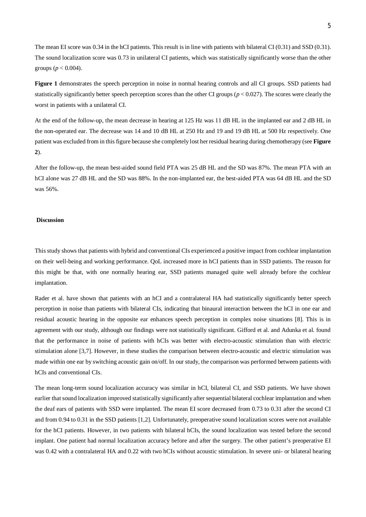The mean EI score was 0.34 in the hCI patients. This result is in line with patients with bilateral CI (0.31) and SSD (0.31). The sound localization score was 0.73 in unilateral CI patients, which was statistically significantly worse than the other groups ( $p < 0.004$ ).

**Figure 1** demonstrates the speech perception in noise in normal hearing controls and all CI groups. SSD patients had statistically significantly better speech perception scores than the other CI groups ( $p < 0.027$ ). The scores were clearly the worst in patients with a unilateral CI.

At the end of the follow-up, the mean decrease in hearing at 125 Hz was 11 dB HL in the implanted ear and 2 dB HL in the non-operated ear. The decrease was 14 and 10 dB HL at 250 Hz and 19 and 19 dB HL at 500 Hz respectively. One patient was excluded from in this figure because she completely lost her residual hearing during chemotherapy (see **Figure 2**).

After the follow-up, the mean best-aided sound field PTA was 25 dB HL and the SD was 87%. The mean PTA with an hCI alone was 27 dB HL and the SD was 88%. In the non-implanted ear, the best-aided PTA was 64 dB HL and the SD was 56%.

# **Discussion**

This study shows that patients with hybrid and conventional CIs experienced a positive impact from cochlear implantation on their well-being and working performance. QoL increased more in hCI patients than in SSD patients. The reason for this might be that, with one normally hearing ear, SSD patients managed quite well already before the cochlear implantation.

Rader et al. have shown that patients with an hCI and a contralateral HA had statistically significantly better speech perception in noise than patients with bilateral CIs, indicating that binaural interaction between the hCI in one ear and residual acoustic hearing in the opposite ear enhances speech perception in complex noise situations [8]. This is in agreement with our study, although our findings were not statistically significant. Gifford et al. and Adunka et al. found that the performance in noise of patients with hCIs was better with electro-acoustic stimulation than with electric stimulation alone [3,7]. However, in these studies the comparison between electro-acoustic and electric stimulation was made within one ear by switching acoustic gain on/off. In our study, the comparison was performed between patients with hCIs and conventional CIs.

The mean long-term sound localization accuracy was similar in hCI, bilateral CI, and SSD patients. We have shown earlier that sound localization improved statistically significantly after sequential bilateral cochlear implantation and when the deaf ears of patients with SSD were implanted. The mean EI score decreased from 0.73 to 0.31 after the second CI and from 0.94 to 0.31 in the SSD patients [1,2]. Unfortunately, preoperative sound localization scores were not available for the hCI patients. However, in two patients with bilateral hCIs, the sound localization was tested before the second implant. One patient had normal localization accuracy before and after the surgery. The other patient's preoperative EI was 0.42 with a contralateral HA and 0.22 with two hCIs without acoustic stimulation. In severe uni- or bilateral hearing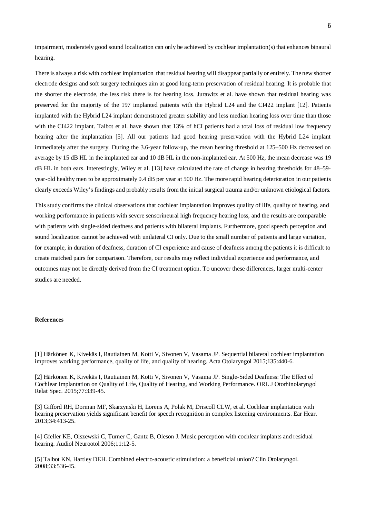impairment, moderately good sound localization can only be achieved by cochlear implantation(s) that enhances binaural hearing.

There is always a risk with cochlear implantation that residual hearing will disappear partially or entirely. The new shorter electrode designs and soft surgery techniques aim at good long-term preservation of residual hearing. It is probable that the shorter the electrode, the less risk there is for hearing loss. Jurawitz et al. have shown that residual hearing was preserved for the majority of the 197 implanted patients with the Hybrid L24 and the CI422 implant [12]. Patients implanted with the Hybrid L24 implant demonstrated greater stability and less median hearing loss over time than those with the CI422 implant. Talbot et al. have shown that 13% of hCI patients had a total loss of residual low frequency hearing after the implantation [5]. All our patients had good hearing preservation with the Hybrid L24 implant immediately after the surgery. During the 3.6-year follow-up, the mean hearing threshold at 125–500 Hz decreased on average by 15 dB HL in the implanted ear and 10 dB HL in the non-implanted ear. At 500 Hz, the mean decrease was 19 dB HL in both ears. Interestingly, Wiley et al. [13] have calculated the rate of change in hearing thresholds for 48–59 year-old healthy men to be approximately 0.4 dB per year at 500 Hz. The more rapid hearing deterioration in our patients clearly exceeds Wiley's findings and probably results from the initial surgical trauma and/or unknown etiological factors.

This study confirms the clinical observations that cochlear implantation improves quality of life, quality of hearing, and working performance in patients with severe sensorineural high frequency hearing loss, and the results are comparable with patients with single-sided deafness and patients with bilateral implants. Furthermore, good speech perception and sound localization cannot be achieved with unilateral CI only. Due to the small number of patients and large variation, for example, in duration of deafness, duration of CI experience and cause of deafness among the patients it is difficult to create matched pairs for comparison. Therefore, our results may reflect individual experience and performance, and outcomes may not be directly derived from the CI treatment option. To uncover these differences, larger multi-center studies are needed.

# **References**

[1] Härkönen K, Kivekäs I, Rautiainen M, Kotti V, Sivonen V, Vasama JP. Sequential bilateral cochlear implantation improves working performance, quality of life, and quality of hearing. Acta Otolaryngol 2015;135:440-6.

[2] Härkönen K, Kivekäs I, Rautiainen M, Kotti V, Sivonen V, Vasama JP. Single-Sided Deafness: The Effect of Cochlear Implantation on Quality of Life, Quality of Hearing, and Working Performance. ORL J Otorhinolaryngol Relat Spec. 2015;77:339-45.

[3] Gifford RH, Dorman MF, Skarzynski H, Lorens A, Polak M, Driscoll CLW, et al. Cochlear implantation with hearing preservation yields significant benefit for speech recognition in complex listening environments. Ear Hear. 2013;34:413-25.

[4] Gfeller KE, Olszewski C, Turner C, Gantz B, Oleson J. Music perception with cochlear implants and residual hearing. Audiol Neurootol 2006;11:12-5.

[5] Talbot KN, Hartley DEH. Combined electro-acoustic stimulation: a beneficial union? Clin Otolaryngol. 2008;33:536-45.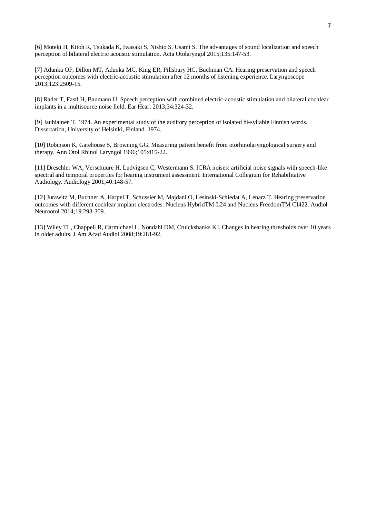[6] Moteki H, Kitoh R, Tsukada K, Iwasaki S, Nishio S, Usami S. The advantages of sound localization and speech perception of bilateral electric acoustic stimulation. Acta Otolaryngol 2015;135:147-53.

[7] Adunka OF, Dillon MT, Adunka MC, King ER, Pillsbury HC, Buchman CA. Hearing preservation and speech perception outcomes with electric-acoustic stimulation after 12 months of listening experience. Laryngoscope 2013;123:2509-15.

[8] Rader T, Fastl H, Baumann U. Speech perception with combined electric-acoustic stimulation and bilateral cochlear implants in a multisource noise field. Ear Hear. 2013;34:324-32.

[9] Jauhiainen T. 1974. An experimental study of the auditory perception of isolated bi-syllable Finnish words. Dissertation, University of Helsinki, Finland. 1974.

[10] Robinson K, Gatehouse S, Browning GG. Measuring patient benefit from otorhinolaryngological surgery and therapy. Ann Otol Rhinol Laryngol 1996;105:415-22.

[11] Dreschler WA, Verschuure H, Ludvigsen C, Westermann S. ICRA noises: artificial noise signals with speech-like spectral and temporal properties for hearing instrument assessment. International Collegium for Rehabilitative Audiology. Audiology 2001;40:148-57.

[12] Jurawitz M, Buchner A, Harpel T, Schussler M, Majdani O, Lesinski-Schiedat A, Lenarz T. Hearing preservation outcomes with different cochlear implant electrodes: Nucleus HybridTM-L24 and Nucleus FreedomTM CI422. Audiol Neurootol 2014;19:293-309.

[13] Wiley TL, Chappell R, Carmichael L, Nondahl DM, Cruickshanks KJ. Changes in hearing thresholds over 10 years in older adults. J Am Acad Audiol 2008;19:281-92.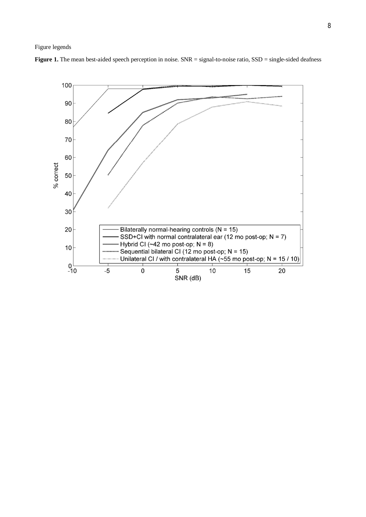

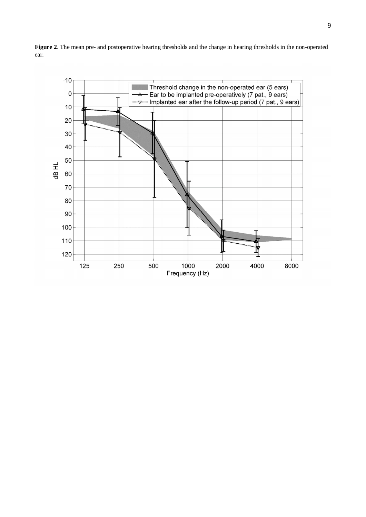

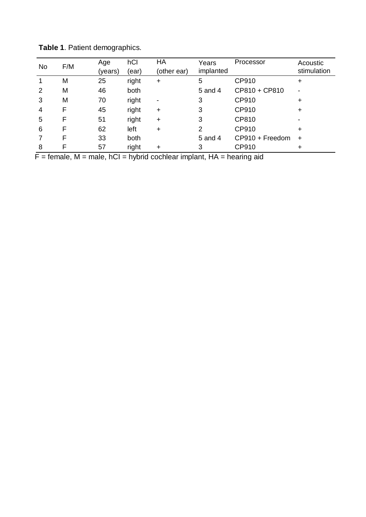| No | F/M | Age<br>(years) | hCl<br>(ear) | HA<br>(other ear)        | Years<br>implanted | Processor       | Acoustic<br>stimulation |
|----|-----|----------------|--------------|--------------------------|--------------------|-----------------|-------------------------|
|    | M   | 25             | right        | $\ddot{}$                | 5                  | CP910           | ٠                       |
| 2  | M   | 46             | both         |                          | 5 and 4            | CP810 + CP810   |                         |
| 3  | M   | 70             | right        | $\overline{\phantom{a}}$ | 3                  | CP910           | +                       |
| 4  | F   | 45             | right        | $\ddot{}$                | 3                  | CP910           | ÷                       |
| 5  | F   | 51             | right        | $\ddot{}$                | 3                  | CP810           |                         |
| 6  | F   | 62             | left         | $\ddot{}$                | 2                  | CP910           | ÷                       |
|    | F   | 33             | both         |                          | 5 and 4            | CP910 + Freedom | $\ddot{}$               |
| 8  | F   | 57             | right        | $\ddot{}$                | 3                  | CP910           | ٠                       |

**Table 1**. Patient demographics.

 $F =$  female,  $M =$  male,  $hCl =$  hybrid cochlear implant,  $HA =$  hearing aid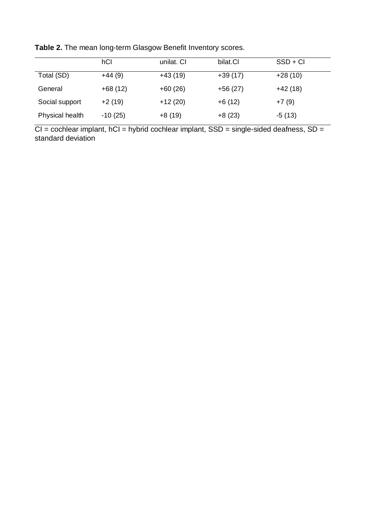|                 | hCl       | unilat. CI | bilat.CI  | $SSD + CI$ |
|-----------------|-----------|------------|-----------|------------|
| Total (SD)      | $+44(9)$  | $+43(19)$  | $+39(17)$ | $+28(10)$  |
| General         | $+68(12)$ | $+60(26)$  | $+56(27)$ | $+42(18)$  |
| Social support  | $+2(19)$  | $+12(20)$  | $+6(12)$  | $+7(9)$    |
| Physical health | $-10(25)$ | $+8(19)$   | $+8(23)$  | $-5(13)$   |

**Table 2.** The mean long-term Glasgow Benefit Inventory scores.

 $CI = cochlear implant, hCI = hybrid cochlear implant, SSD = single-sided deafness, SD =$ standard deviation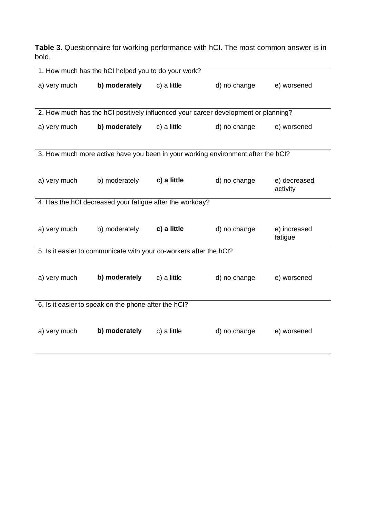**Table 3.** Questionnaire for working performance with hCI. The most common answer is in bold.

| 1. How much has the hCI helped you to do your work?                                |               |                                                                                  |              |                          |  |  |
|------------------------------------------------------------------------------------|---------------|----------------------------------------------------------------------------------|--------------|--------------------------|--|--|
| a) very much                                                                       | b) moderately | c) a little                                                                      | d) no change | e) worsened              |  |  |
|                                                                                    |               |                                                                                  |              |                          |  |  |
| 2. How much has the hCI positively influenced your career development or planning? |               |                                                                                  |              |                          |  |  |
| a) very much                                                                       | b) moderately | c) a little                                                                      | d) no change | e) worsened              |  |  |
|                                                                                    |               |                                                                                  |              |                          |  |  |
|                                                                                    |               | 3. How much more active have you been in your working environment after the hCI? |              |                          |  |  |
|                                                                                    |               |                                                                                  |              |                          |  |  |
| a) very much                                                                       | b) moderately | c) a little                                                                      | d) no change | e) decreased<br>activity |  |  |
| 4. Has the hCI decreased your fatigue after the workday?                           |               |                                                                                  |              |                          |  |  |
|                                                                                    |               |                                                                                  |              |                          |  |  |
| a) very much                                                                       | b) moderately | c) a little                                                                      | d) no change | e) increased<br>fatigue  |  |  |
| 5. Is it easier to communicate with your co-workers after the hCl?                 |               |                                                                                  |              |                          |  |  |
|                                                                                    |               |                                                                                  |              |                          |  |  |
| a) very much                                                                       | b) moderately | c) a little                                                                      | d) no change | e) worsened              |  |  |
|                                                                                    |               |                                                                                  |              |                          |  |  |
| 6. Is it easier to speak on the phone after the hCl?                               |               |                                                                                  |              |                          |  |  |
|                                                                                    |               |                                                                                  |              |                          |  |  |
| a) very much                                                                       | b) moderately | c) a little                                                                      | d) no change | e) worsened              |  |  |
|                                                                                    |               |                                                                                  |              |                          |  |  |